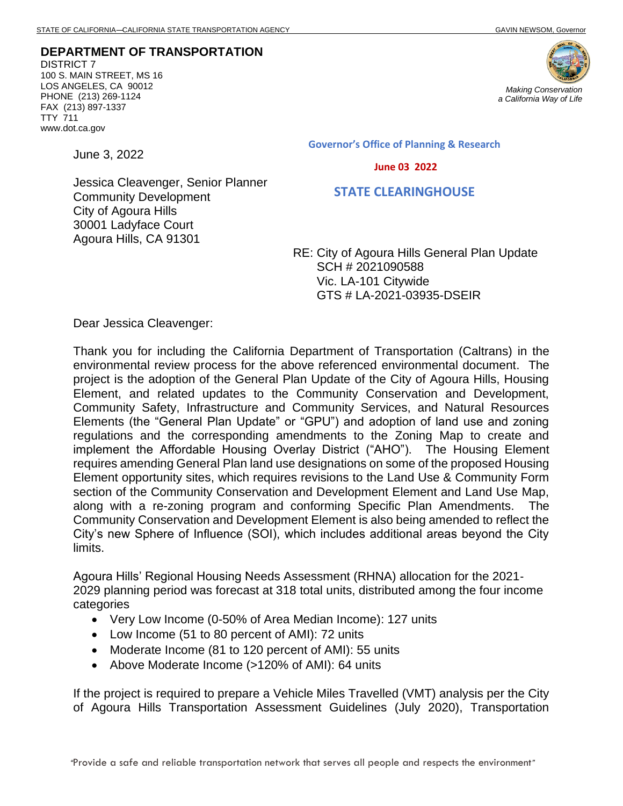**DEPARTMENT OF TRANSPORTATION** DISTRICT 7 100 S. MAIN STREET, MS 16 LOS ANGELES, CA 90012 PHONE (213) 269-1124 FAX (213) 897-1337 TTY 711 www.dot.ca.gov

June 3, 2022



**Governor's Office of Planning & Research**

 **June 03 2022**

 **STATE CLEARINGHOUSE**

Jessica Cleavenger, Senior Planner Community Development City of Agoura Hills 30001 Ladyface Court Agoura Hills, CA 91301

> RE: City of Agoura Hills General Plan Update SCH # 2021090588 Vic. LA-101 Citywide GTS # LA-2021-03935-DSEIR

Dear Jessica Cleavenger:

Thank you for including the California Department of Transportation (Caltrans) in the environmental review process for the above referenced environmental document. The project is the adoption of the General Plan Update of the City of Agoura Hills, Housing Element, and related updates to the Community Conservation and Development, Community Safety, Infrastructure and Community Services, and Natural Resources Elements (the "General Plan Update" or "GPU") and adoption of land use and zoning regulations and the corresponding amendments to the Zoning Map to create and implement the Affordable Housing Overlay District ("AHO"). The Housing Element requires amending General Plan land use designations on some of the proposed Housing Element opportunity sites, which requires revisions to the Land Use & Community Form section of the Community Conservation and Development Element and Land Use Map, along with a re-zoning program and conforming Specific Plan Amendments. The Community Conservation and Development Element is also being amended to reflect the City's new Sphere of Influence (SOI), which includes additional areas beyond the City limits.

Agoura Hills' Regional Housing Needs Assessment (RHNA) allocation for the 2021‐ 2029 planning period was forecast at 318 total units, distributed among the four income categories

- Very Low Income (0-50% of Area Median Income): 127 units
- Low Income (51 to 80 percent of AMI): 72 units
- Moderate Income (81 to 120 percent of AMI): 55 units
- Above Moderate Income (>120% of AMI): 64 units

If the project is required to prepare a Vehicle Miles Travelled (VMT) analysis per the City of Agoura Hills Transportation Assessment Guidelines (July 2020), Transportation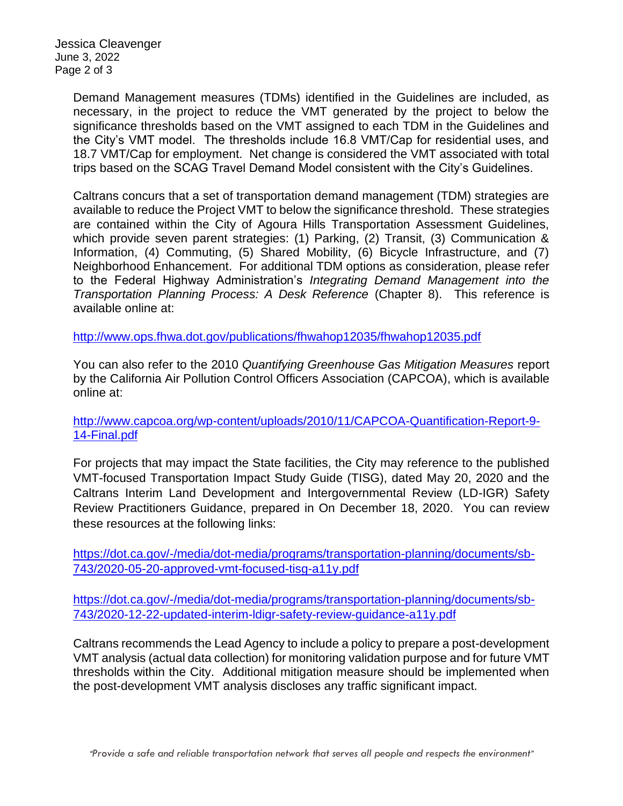Jessica Cleavenger June 3, 2022 Page 2 of 3

> Demand Management measures (TDMs) identified in the Guidelines are included, as necessary, in the project to reduce the VMT generated by the project to below the significance thresholds based on the VMT assigned to each TDM in the Guidelines and the City's VMT model. The thresholds include 16.8 VMT/Cap for residential uses, and 18.7 VMT/Cap for employment. Net change is considered the VMT associated with total trips based on the SCAG Travel Demand Model consistent with the City's Guidelines.

> Caltrans concurs that a set of transportation demand management (TDM) strategies are available to reduce the Project VMT to below the significance threshold. These strategies are contained within the City of Agoura Hills Transportation Assessment Guidelines, which provide seven parent strategies: (1) Parking, (2) Transit, (3) Communication & Information, (4) Commuting, (5) Shared Mobility, (6) Bicycle Infrastructure, and (7) Neighborhood Enhancement. For additional TDM options as consideration, please refer to the Federal Highway Administration's *Integrating Demand Management into the Transportation Planning Process: A Desk Reference* (Chapter 8).This reference is available online at:

<http://www.ops.fhwa.dot.gov/publications/fhwahop12035/fhwahop12035.pdf>

You can also refer to the 2010 *Quantifying Greenhouse Gas Mitigation Measures* report by the California Air Pollution Control Officers Association (CAPCOA), which is available online at:

[http://www.capcoa.org/wp-content/uploads/2010/11/CAPCOA-Quantification-Report-9-](http://www.capcoa.org/wp-content/uploads/2010/11/CAPCOA-Quantification-Report-9-14-Final.pdf) [14-Final.pdf](http://www.capcoa.org/wp-content/uploads/2010/11/CAPCOA-Quantification-Report-9-14-Final.pdf)

For projects that may impact the State facilities, the City may reference to the published VMT-focused Transportation Impact Study Guide (TISG), dated May 20, 2020 and the Caltrans Interim Land Development and Intergovernmental Review (LD-IGR) Safety Review Practitioners Guidance, prepared in On December 18, 2020. You can review these resources at the following links:

[https://dot.ca.gov/-/media/dot-media/programs/transportation-planning/documents/sb-](https://dot.ca.gov/-/media/dot-media/programs/transportation-planning/documents/sb-743/2020-05-20-approved-vmt-focused-tisg-a11y.pdf)[743/2020-05-20-approved-vmt-focused-tisg-a11y.pdf](https://dot.ca.gov/-/media/dot-media/programs/transportation-planning/documents/sb-743/2020-05-20-approved-vmt-focused-tisg-a11y.pdf)

[https://dot.ca.gov/-/media/dot-media/programs/transportation-planning/documents/sb-](https://dot.ca.gov/-/media/dot-media/programs/transportation-planning/documents/sb-743/2020-12-22-updated-interim-ldigr-safety-review-guidance-a11y.pdf)[743/2020-12-22-updated-interim-ldigr-safety-review-guidance-a11y.pdf](https://dot.ca.gov/-/media/dot-media/programs/transportation-planning/documents/sb-743/2020-12-22-updated-interim-ldigr-safety-review-guidance-a11y.pdf)

Caltrans recommends the Lead Agency to include a policy to prepare a post-development VMT analysis (actual data collection) for monitoring validation purpose and for future VMT thresholds within the City. Additional mitigation measure should be implemented when the post-development VMT analysis discloses any traffic significant impact.